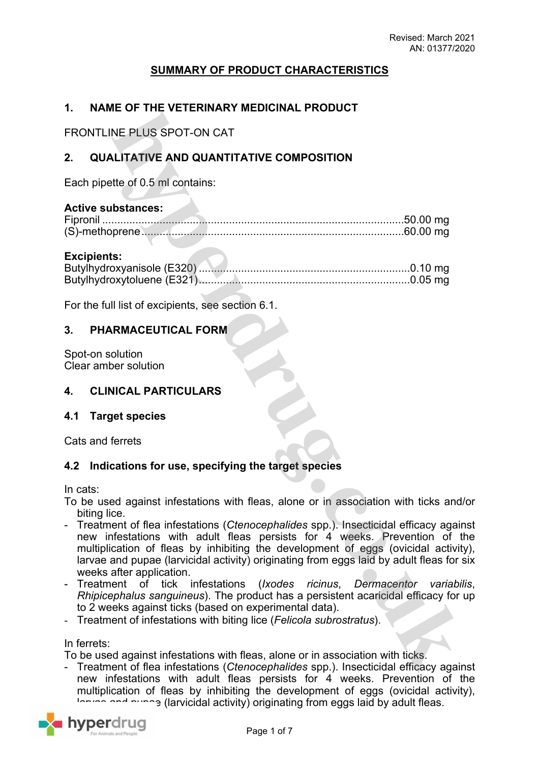# **SUMMARY OF PRODUCT CHARACTERISTICS**

## **1. NAME OF THE VETERINARY MEDICINAL PRODUCT**

FRONTLINE PLUS SPOT-ON CAT

# **2. QUALITATIVE AND QUANTITATIVE COMPOSITION**

Each pipette of 0.5 ml contains:

### **Active substances:**

#### **Excipients:**

For the full list of excipients, see section 6.1.

### **3. PHARMACEUTICAL FORM**

Spot-on solution Clear amber solution

### **4. CLINICAL PARTICULARS**

### **4.1 Target species**

Cats and ferrets

### **4.2 Indications for use, specifying the target species**

In cats:

- To be used against infestations with fleas, alone or in association with ticks and/or biting lice.
- Treatment of flea infestations (*Ctenocephalides* spp.). Insecticidal efficacy against new infestations with adult fleas persists for 4 weeks. Prevention of the multiplication of fleas by inhibiting the development of eggs (ovicidal activity), larvae and pupae (larvicidal activity) originating from eggs laid by adult fleas for six weeks after application.
- Treatment of tick infestations (*Ixodes ricinus*, *Dermacentor variabilis*, *Rhipicephalus sanguineus*). The product has a persistent acaricidal efficacy for up to 2 weeks against ticks (based on experimental data).
- Treatment of infestations with biting lice (*Felicola subrostratus*).

In ferrets:

To be used against infestations with fleas, alone or in association with ticks.

- Treatment of flea infestations (*Ctenocephalides* spp.). Insecticidal efficacy against new infestations with adult fleas persists for 4 weeks. Prevention of the multiplication of fleas by inhibiting the development of eggs (ovicidal activity), lor  $\sim$  and punce (larvicidal activity) originating from eggs laid by adult fleas.

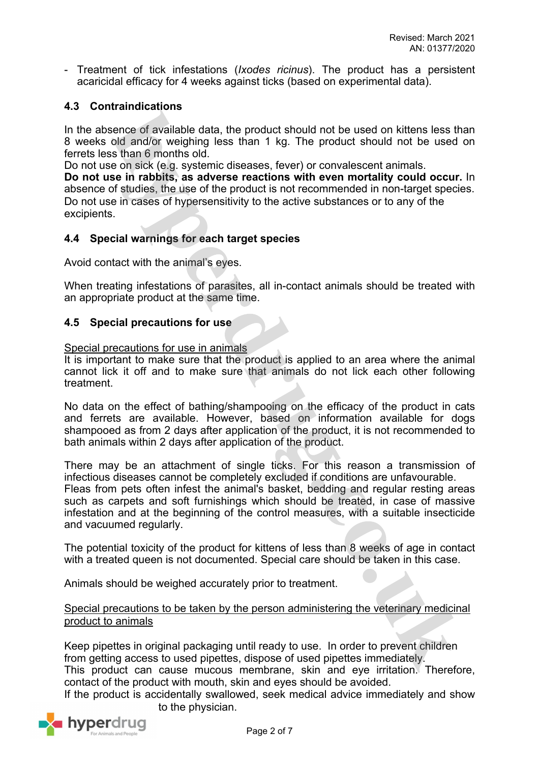- Treatment of tick infestations (*Ixodes ricinus*). The product has a persistent acaricidal efficacy for 4 weeks against ticks (based on experimental data).

# **4.3 Contraindications**

In the absence of available data, the product should not be used on kittens less than 8 weeks old and/or weighing less than 1 kg. The product should not be used on ferrets less than 6 months old.

Do not use on sick (e.g. systemic diseases, fever) or convalescent animals.

**Do not use in rabbits, as adverse reactions with even mortality could occur.** In absence of studies, the use of the product is not recommended in non-target species. Do not use in cases of hypersensitivity to the active substances or to any of the excipients.

## **4.4 Special warnings for each target species**

Avoid contact with the animal's eyes.

When treating infestations of parasites, all in-contact animals should be treated with an appropriate product at the same time.

## **4.5 Special precautions for use**

### Special precautions for use in animals

It is important to make sure that the product is applied to an area where the animal cannot lick it off and to make sure that animals do not lick each other following treatment.

No data on the effect of bathing/shampooing on the efficacy of the product in cats and ferrets are available. However, based on information available for dogs shampooed as from 2 days after application of the product, it is not recommended to bath animals within 2 days after application of the product.

There may be an attachment of single ticks. For this reason a transmission of infectious diseases cannot be completely excluded if conditions are unfavourable. Fleas from pets often infest the animal's basket, bedding and regular resting areas such as carpets and soft furnishings which should be treated, in case of massive infestation and at the beginning of the control measures, with a suitable insecticide and vacuumed regularly.

The potential toxicity of the product for kittens of less than 8 weeks of age in contact with a treated queen is not documented. Special care should be taken in this case.

Animals should be weighed accurately prior to treatment.

## Special precautions to be taken by the person administering the veterinary medicinal product to animals

Keep pipettes in original packaging until ready to use. In order to prevent children from getting access to used pipettes, dispose of used pipettes immediately. This product can cause mucous membrane, skin and eye irritation. Therefore, contact of the product with mouth, skin and eyes should be avoided.

If the product is accidentally swallowed, seek medical advice immediately and show to the physician.

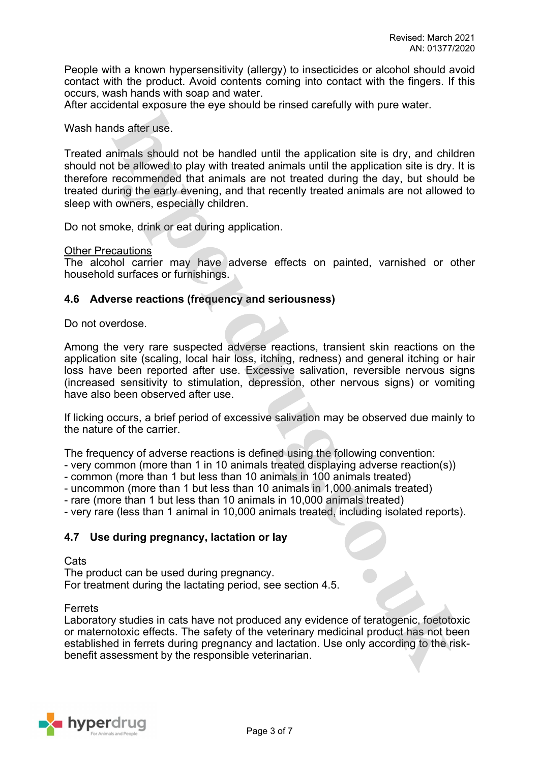People with a known hypersensitivity (allergy) to insecticides or alcohol should avoid contact with the product. Avoid contents coming into contact with the fingers. If this occurs, wash hands with soap and water.

After accidental exposure the eye should be rinsed carefully with pure water.

Wash hands after use.

Treated animals should not be handled until the application site is dry, and children should not be allowed to play with treated animals until the application site is dry. It is therefore recommended that animals are not treated during the day, but should be treated during the early evening, and that recently treated animals are not allowed to sleep with owners, especially children.

Do not smoke, drink or eat during application.

Other Precautions

The alcohol carrier may have adverse effects on painted, varnished or other household surfaces or furnishings.

### **4.6 Adverse reactions (frequency and seriousness)**

Do not overdose.

Among the very rare suspected adverse reactions, transient skin reactions on the application site (scaling, local hair loss, itching, redness) and general itching or hair loss have been reported after use. Excessive salivation, reversible nervous signs (increased sensitivity to stimulation, depression, other nervous signs) or vomiting have also been observed after use.

If licking occurs, a brief period of excessive salivation may be observed due mainly to the nature of the carrier.

The frequency of adverse reactions is defined using the following convention:

- very common (more than 1 in 10 animals treated displaying adverse reaction(s))

- common (more than 1 but less than 10 animals in 100 animals treated)

- uncommon (more than 1 but less than 10 animals in 1,000 animals treated)

- rare (more than 1 but less than 10 animals in 10,000 animals treated)

- very rare (less than 1 animal in 10,000 animals treated, including isolated reports).

### **4.7 Use during pregnancy, lactation or lay**

#### Cats

The product can be used during pregnancy. For treatment during the lactating period, see section 4.5.

**Ferrets** 

Laboratory studies in cats have not produced any evidence of teratogenic, foetotoxic or maternotoxic effects. The safety of the veterinary medicinal product has not been established in ferrets during pregnancy and lactation. Use only according to the riskbenefit assessment by the responsible veterinarian.

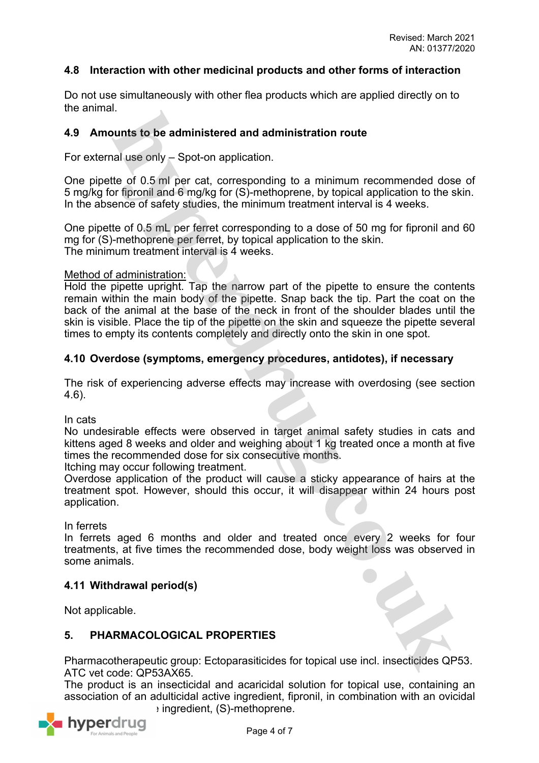## **4.8 Interaction with other medicinal products and other forms of interaction**

Do not use simultaneously with other flea products which are applied directly on to the animal.

## **4.9 Amounts to be administered and administration route**

For external use only – Spot-on application.

One pipette of 0.5 ml per cat, corresponding to a minimum recommended dose of 5 mg/kg for fipronil and 6 mg/kg for (S)-methoprene, by topical application to the skin. In the absence of safety studies, the minimum treatment interval is 4 weeks.

One pipette of 0.5 mL per ferret corresponding to a dose of 50 mg for fipronil and 60 mg for (S)-methoprene per ferret, by topical application to the skin. The minimum treatment interval is 4 weeks.

Method of administration:

Hold the pipette upright. Tap the narrow part of the pipette to ensure the contents remain within the main body of the pipette. Snap back the tip. Part the coat on the back of the animal at the base of the neck in front of the shoulder blades until the skin is visible. Place the tip of the pipette on the skin and squeeze the pipette several times to empty its contents completely and directly onto the skin in one spot.

## **4.10 Overdose (symptoms, emergency procedures, antidotes), if necessary**

The risk of experiencing adverse effects may increase with overdosing (see section 4.6).

In cats

No undesirable effects were observed in target animal safety studies in cats and kittens aged 8 weeks and older and weighing about 1 kg treated once a month at five times the recommended dose for six consecutive months.

Itching may occur following treatment.

Overdose application of the product will cause a sticky appearance of hairs at the treatment spot. However, should this occur, it will disappear within 24 hours post application.

In ferrets

In ferrets aged 6 months and older and treated once every 2 weeks for four treatments, at five times the recommended dose, body weight loss was observed in some animals.

### **4.11 Withdrawal period(s)**

Not applicable.

### **5. PHARMACOLOGICAL PROPERTIES**

Pharmacotherapeutic group: Ectoparasiticides for topical use incl. insecticides QP53. ATC vet code: QP53AX65.

The product is an insecticidal and acaricidal solution for topical use, containing an association of an adulticidal active ingredient, fipronil, in combination with an ovicidal ingredient, (S)-methoprene.<br> **hypercirug** 

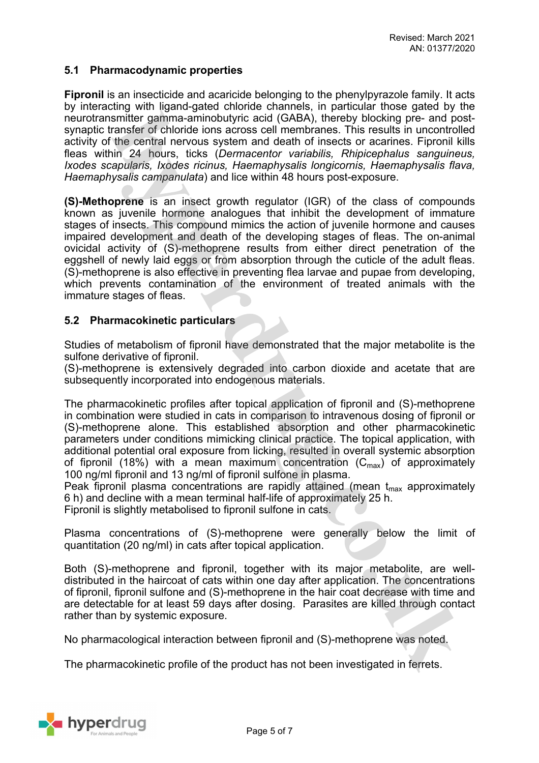## **5.1 Pharmacodynamic properties**

**Fipronil** is an insecticide and acaricide belonging to the phenylpyrazole family. It acts by interacting with ligand-gated chloride channels, in particular those gated by the neurotransmitter gamma-aminobutyric acid (GABA), thereby blocking pre- and postsynaptic transfer of chloride ions across cell membranes. This results in uncontrolled activity of the central nervous system and death of insects or acarines. Fipronil kills fleas within 24 hours, ticks (*Dermacentor variabilis, Rhipicephalus sanguineus, Ixodes scapularis, Ixodes ricinus, Haemaphysalis longicornis, Haemaphysalis flava, Haemaphysalis campanulata*) and lice within 48 hours post-exposure.

**(S)-Methoprene** is an insect growth regulator (IGR) of the class of compounds known as juvenile hormone analogues that inhibit the development of immature stages of insects. This compound mimics the action of juvenile hormone and causes impaired development and death of the developing stages of fleas. The on-animal ovicidal activity of (S)-methoprene results from either direct penetration of the eggshell of newly laid eggs or from absorption through the cuticle of the adult fleas. (S)-methoprene is also effective in preventing flea larvae and pupae from developing, which prevents contamination of the environment of treated animals with the immature stages of fleas.

## **5.2 Pharmacokinetic particulars**

Studies of metabolism of fipronil have demonstrated that the major metabolite is the sulfone derivative of fipronil.

(S)-methoprene is extensively degraded into carbon dioxide and acetate that are subsequently incorporated into endogenous materials.

The pharmacokinetic profiles after topical application of fipronil and (S)-methoprene in combination were studied in cats in comparison to intravenous dosing of fipronil or (S)-methoprene alone. This established absorption and other pharmacokinetic parameters under conditions mimicking clinical practice. The topical application, with additional potential oral exposure from licking, resulted in overall systemic absorption of fipronil (18%) with a mean maximum concentration  $(C_{\text{max}})$  of approximately 100 ng/ml fipronil and 13 ng/ml of fipronil sulfone in plasma.

Peak fipronil plasma concentrations are rapidly attained (mean  $t_{max}$  approximately 6 h) and decline with a mean terminal half-life of approximately 25 h.

Fipronil is slightly metabolised to fipronil sulfone in cats.

Plasma concentrations of (S)-methoprene were generally below the limit of quantitation (20 ng/ml) in cats after topical application.

Both (S)-methoprene and fipronil, together with its major metabolite, are welldistributed in the haircoat of cats within one day after application. The concentrations of fipronil, fipronil sulfone and (S)-methoprene in the hair coat decrease with time and are detectable for at least 59 days after dosing. Parasites are killed through contact rather than by systemic exposure.

No pharmacological interaction between fipronil and (S)-methoprene was noted.

The pharmacokinetic profile of the product has not been investigated in ferrets.

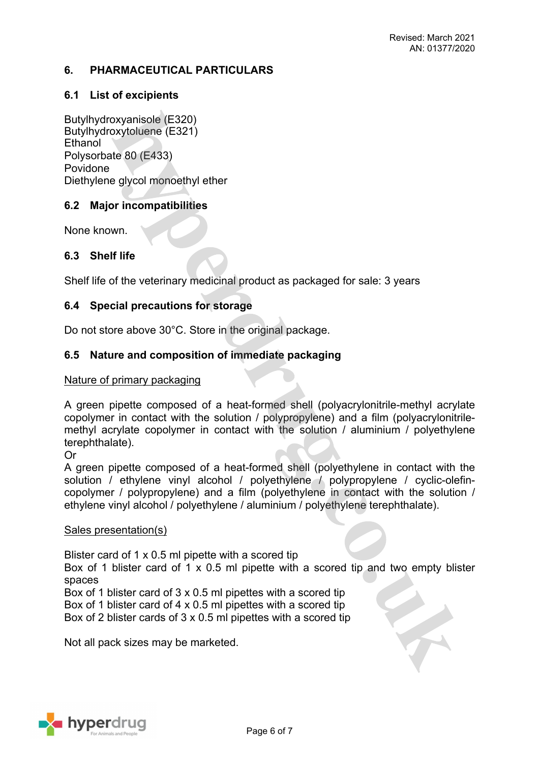## **6. PHARMACEUTICAL PARTICULARS**

## **6.1 List of excipients**

Butylhydroxyanisole (E320) Butylhydroxytoluene (E321) **Ethanol** Polysorbate 80 (E433) Povidone Diethylene glycol monoethyl ether

## **6.2 Major incompatibilities**

None known.

## **6.3 Shelf life**

Shelf life of the veterinary medicinal product as packaged for sale: 3 years

## **6.4 Special precautions for storage**

Do not store above 30°C. Store in the original package.

## **6.5 Nature and composition of immediate packaging**

Nature of primary packaging

A green pipette composed of a heat-formed shell (polyacrylonitrile-methyl acrylate copolymer in contact with the solution / polypropylene) and a film (polyacrylonitrilemethyl acrylate copolymer in contact with the solution / aluminium / polyethylene terephthalate).

Or

A green pipette composed of a heat-formed shell (polyethylene in contact with the solution / ethylene vinyl alcohol / polyethylene / polypropylene / cyclic-olefincopolymer / polypropylene) and a film (polyethylene in contact with the solution / ethylene vinyl alcohol / polyethylene / aluminium / polyethylene terephthalate).

### Sales presentation(s)

Blister card of 1 x 0.5 ml pipette with a scored tip

Box of 1 blister card of 1 x 0.5 ml pipette with a scored tip and two empty blister spaces

Box of 1 blister card of 3 x 0.5 ml pipettes with a scored tip

Box of 1 blister card of 4 x 0.5 ml pipettes with a scored tip

Box of 2 blister cards of 3 x 0.5 ml pipettes with a scored tip

Not all pack sizes may be marketed.